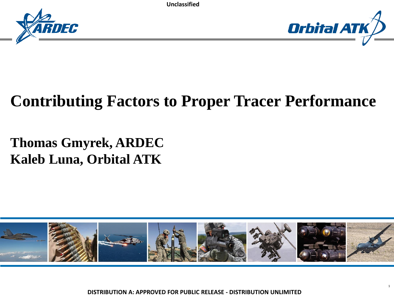



### **Contributing Factors to Proper Tracer Performance**

#### **Thomas Gmyrek, ARDEC Kaleb Luna, Orbital ATK**

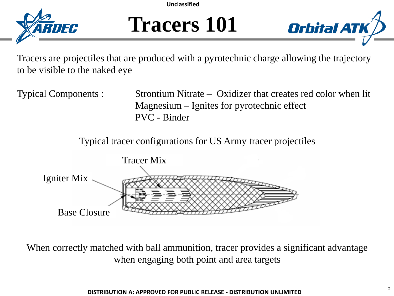

### **Tracers 101**



Tracers are projectiles that are produced with a pyrotechnic charge allowing the trajectory to be visible to the naked eye

Typical Components : Strontium Nitrate – Oxidizer that creates red color when lit Magnesium – Ignites for pyrotechnic effect PVC - Binder

Typical tracer configurations for US Army tracer projectiles



When correctly matched with ball ammunition, tracer provides a significant advantage when engaging both point and area targets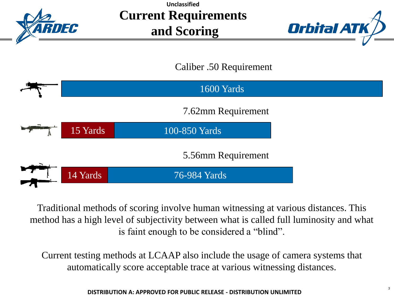

**Current Requirements and Scoring Unclassified**



Caliber .50 Requirement



Traditional methods of scoring involve human witnessing at various distances. This method has a high level of subjectivity between what is called full luminosity and what is faint enough to be considered a "blind".

Current testing methods at LCAAP also include the usage of camera systems that automatically score acceptable trace at various witnessing distances.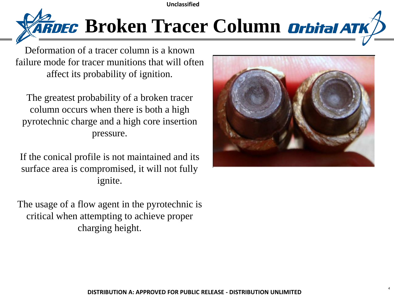

Deformation of a tracer column is a known failure mode for tracer munitions that will often affect its probability of ignition.

The greatest probability of a broken tracer column occurs when there is both a high pyrotechnic charge and a high core insertion pressure.

If the conical profile is not maintained and its surface area is compromised, it will not fully ignite.

The usage of a flow agent in the pyrotechnic is critical when attempting to achieve proper charging height.

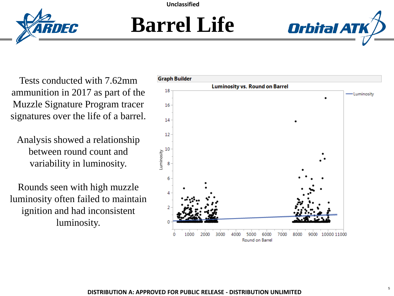

### **Barrel Life**



Tests conducted with 7.62mm ammunition in 2017 as part of the Muzzle Signature Program tracer signatures over the life of a barrel.

RNFA

Analysis showed a relationship between round count and variability in luminosity.

Rounds seen with high muzzle luminosity often failed to maintain ignition and had inconsistent luminosity.

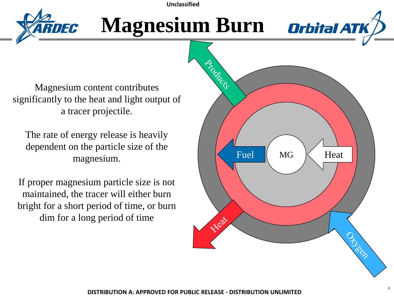

### **Magnesium Burn**



The rate of energy release is heavily dependent on the particle size of the magnesium.

If proper magnesium particle size is not maintained, the tracer will either burn bright for a short period of time, or burn dim for a long period of time

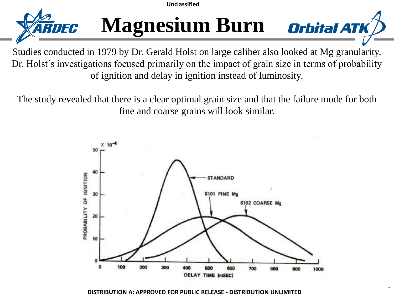

## **Magnesium Burn** *orbital ATK*

Studies conducted in 1979 by Dr. Gerald Holst on large caliber also looked at Mg granularity. Dr. Holst's investigations focused primarily on the impact of grain size in terms of probability of ignition and delay in ignition instead of luminosity.

The study revealed that there is a clear optimal grain size and that the failure mode for both fine and coarse grains will look similar.

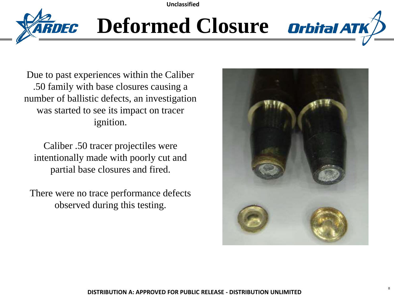

# **Deformed Closure Orbital ATK**

Due to past experiences within the Caliber .50 family with base closures causing a number of ballistic defects, an investigation was started to see its impact on tracer ignition.

Caliber .50 tracer projectiles were intentionally made with poorly cut and partial base closures and fired.

There were no trace performance defects observed during this testing.

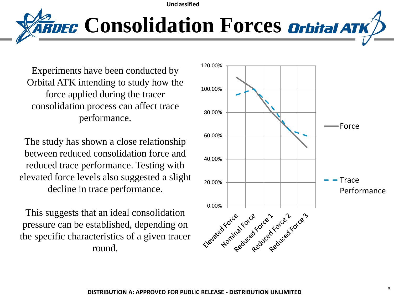*Consolidation Forces orbital ATK* 

Experiments have been conducted by Orbital ATK intending to study how the force applied during the tracer consolidation process can affect trace performance.

The study has shown a close relationship between reduced consolidation force and reduced trace performance. Testing with elevated force levels also suggested a slight decline in trace performance.

This suggests that an ideal consolidation pressure can be established, depending on the specific characteristics of a given tracer round.

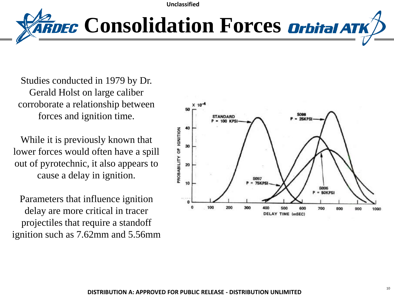*ARDEC Consolidation Forces Orbital ATK* 

Studies conducted in 1979 by Dr. Gerald Holst on large caliber corroborate a relationship between forces and ignition time.

While it is previously known that lower forces would often have a spill out of pyrotechnic, it also appears to cause a delay in ignition.

Parameters that influence ignition delay are more critical in tracer projectiles that require a standoff ignition such as 7.62mm and 5.56mm

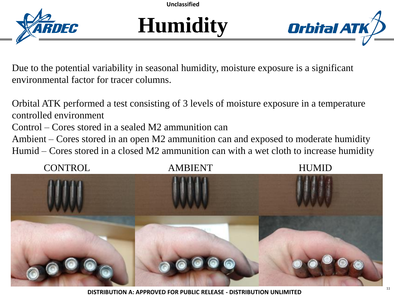

## **Humidity**



Due to the potential variability in seasonal humidity, moisture exposure is a significant environmental factor for tracer columns.

Orbital ATK performed a test consisting of 3 levels of moisture exposure in a temperature controlled environment Control – Cores stored in a sealed M2 ammunition can Ambient – Cores stored in an open M2 ammunition can and exposed to moderate humidity Humid – Cores stored in a closed M2 ammunition can with a wet cloth to increase humidity

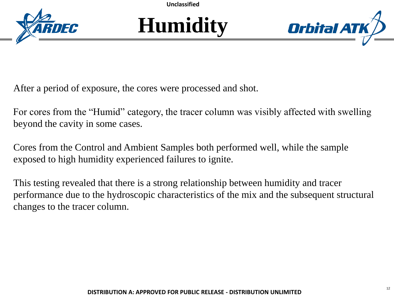





After a period of exposure, the cores were processed and shot.

For cores from the "Humid" category, the tracer column was visibly affected with swelling beyond the cavity in some cases.

Cores from the Control and Ambient Samples both performed well, while the sample exposed to high humidity experienced failures to ignite.

This testing revealed that there is a strong relationship between humidity and tracer performance due to the hydroscopic characteristics of the mix and the subsequent structural changes to the tracer column.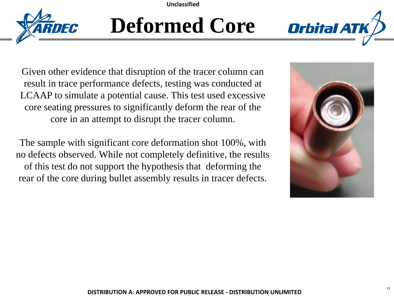

## **Deformed Core**



Given other evidence that disruption of the tracer column can result in trace performance defects, testing was conducted at LCAAP to simulate a potential cause. This test used excessive core seating pressures to significantly deform the rear of the core in an attempt to disrupt the tracer column.

The sample with significant core deformation shot 100%, with no defects observed. While not completely definitive, the results of this test do not support the hypothesis that deforming the rear of the core during bullet assembly results in tracer defects.

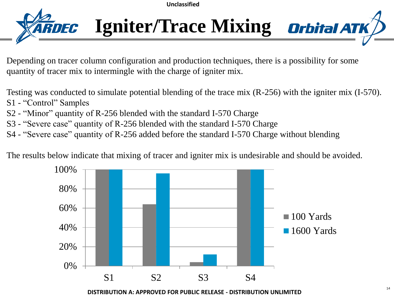

**Igniter/Trace Mixing Orbital ATK** 

Depending on tracer column configuration and production techniques, there is a possibility for some quantity of tracer mix to intermingle with the charge of igniter mix.

Testing was conducted to simulate potential blending of the trace mix (R-256) with the igniter mix (I-570).

- S1 "Control" Samples
- S2 "Minor" quantity of R-256 blended with the standard I-570 Charge
- S3 "Severe case" quantity of R-256 blended with the standard I-570 Charge
- S4 "Severe case" quantity of R-256 added before the standard I-570 Charge without blending

The results below indicate that mixing of tracer and igniter mix is undesirable and should be avoided.

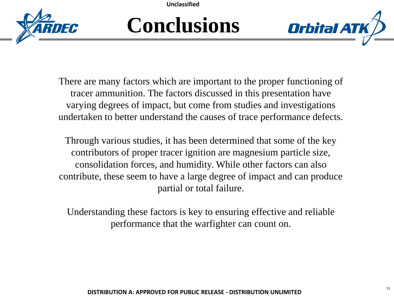

### **Conclusions**



There are many factors which are important to the proper functioning of tracer ammunition. The factors discussed in this presentation have varying degrees of impact, but come from studies and investigations undertaken to better understand the causes of trace performance defects.

Through various studies, it has been determined that some of the key contributors of proper tracer ignition are magnesium particle size, consolidation forces, and humidity. While other factors can also contribute, these seem to have a large degree of impact and can produce partial or total failure.

Understanding these factors is key to ensuring effective and reliable performance that the warfighter can count on.